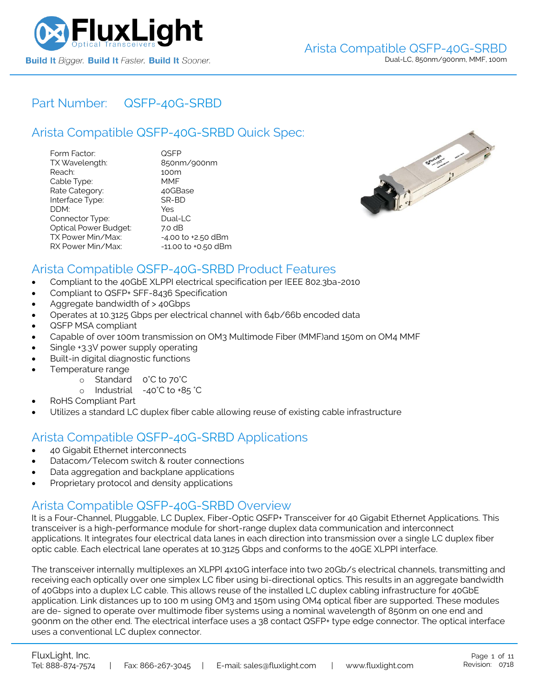

### Part Number: [QSFP-40G-SRBD](https://www.fluxlight.com/qsfp-40g-srbd/)

## Arista Compatible [QSFP-40G-SRBD](https://www.fluxlight.com/qsfp-40g-srbd/) Quick Spec:

| Form Factor:                 | QSFP                |
|------------------------------|---------------------|
| TX Wavelength:               | 850nm/900nm         |
| Reach:                       | 100m                |
| Cable Type:                  | MMF                 |
| Rate Category:               | 40GBase             |
| Interface Type:              | SR-BD               |
| DDM:                         | Yes                 |
| Connector Type:              | Dual-LC             |
| <b>Optical Power Budget:</b> | 7.0 dB              |
| TX Power Min/Max:            | -4.00 to +2.50 dBm  |
| RX Power Min/Max:            | -11.00 to +0.50 dBm |



### Arista Compatible [QSFP-40G-SRBD](https://www.fluxlight.com/qsfp-40g-srbd/) Product Features

- Compliant to the 40GbE XLPPI electrical specification per IEEE 802.3ba-2010
- Compliant to QSFP+ SFF-8436 Specification
- Aggregate bandwidth of > 40Gbps
- Operates at 10.3125 Gbps per electrical channel with 64b/66b encoded data
- QSFP MSA compliant
- Capable of over 100m transmission on OM3 Multimode Fiber (MMF)and 150m on OM4 MMF
- Single +3.3V power supply operating
- Built-in digital diagnostic functions
- Temperature range
	- o Standard 0°C to 70°C
	- o Industrial -40°C to +85 °C
- RoHS Compliant Part
- Utilizes a standard LC duplex fiber cable allowing reuse of existing cable infrastructure

## Arista Compatible [QSFP-40G-SRBD](https://www.fluxlight.com/qsfp-40g-srbd/) Applications

- 40 Gigabit Ethernet interconnects
- Datacom/Telecom switch & router connections
- Data aggregation and backplane applications
- Proprietary protocol and density applications

### Arista Compatible [QSFP-40G-SRBD](https://www.fluxlight.com/qsfp-40g-srbd/) Overview

It is a Four-Channel, Pluggable, LC Duplex, Fiber-Optic QSFP+ Transceiver for 40 Gigabit Ethernet Applications. This transceiver is a high-performance module for short-range duplex data communication and interconnect applications. It integrates four electrical data lanes in each direction into transmission over a single LC duplex fiber optic cable. Each electrical lane operates at 10.3125 Gbps and conforms to the 40GE XLPPI interface.

The transceiver internally multiplexes an XLPPI 4x10G interface into two 20Gb/s electrical channels, transmitting and receiving each optically over one simplex LC fiber using bi-directional optics. This results in an aggregate bandwidth of 40Gbps into a duplex LC cable. This allows reuse of the installed LC duplex cabling infrastructure for 40GbE application. Link distances up to 100 m using OM3 and 150m using OM4 optical fiber are supported. These modules are de- signed to operate over multimode fiber systems using a nominal wavelength of 850nm on one end and 900nm on the other end. The electrical interface uses a 38 contact QSFP+ type edge connector. The optical interface uses a conventional LC duplex connector.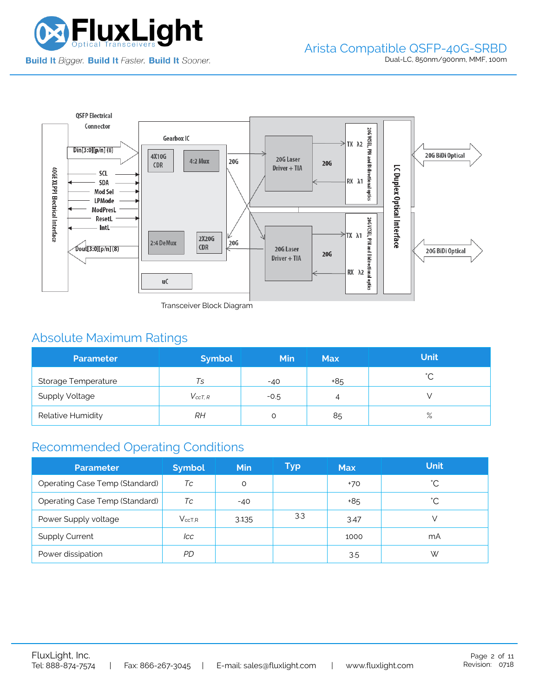



Transceiver Block Diagram

# Absolute Maximum Ratings

| <b>Parameter</b>      | <b>Symbol</b>  | <b>Min</b> | <b>Max</b> | <b>Unit</b> |
|-----------------------|----------------|------------|------------|-------------|
| Storage Temperature   | Ts             | $-40$      | +85        | $\hat{ }$   |
| <b>Supply Voltage</b> | $V_{c c T. R}$ | $-0.5$     | 4          |             |
| Relative Humidity     | RН             |            | 85         | $\%$        |

## Recommended Operating Conditions

| <b>Parameter</b>                      | <b>Symbol</b> | <b>Min</b> | Typ | <b>Max</b> | <b>Unit</b> |
|---------------------------------------|---------------|------------|-----|------------|-------------|
| Operating Case Temp (Standard)        | Тc            | O          |     | +70        | °С          |
| <b>Operating Case Temp (Standard)</b> | Tc            | $-40$      |     | +85        | °С          |
| Power Supply voltage                  | $V_{ccT.R}$   | 3.135      | 3.3 | 3.47       |             |
| <b>Supply Current</b>                 | lcc           |            |     | 1000       | mA          |
| Power dissipation                     | PD            |            |     | 3.5        | W           |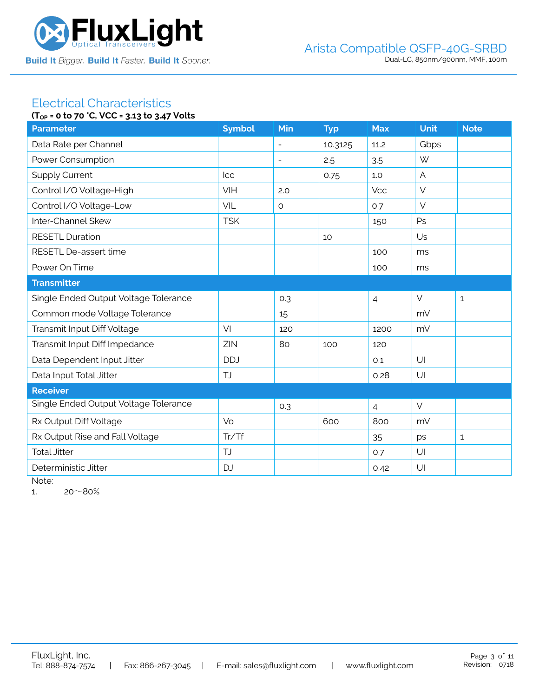

#### Electrical Characteristics **(TOP = 0 to 70 °C, VCC = 3.13 to 3.47 Volts**

| $(1_{OP} = 0 \text{ to } 70 \text{ C}, \text{VCC} = 3.13 \text{ to } 3.47 \text{ VOLS}$ |               |                          |            |                |                |              |
|-----------------------------------------------------------------------------------------|---------------|--------------------------|------------|----------------|----------------|--------------|
| <b>Parameter</b>                                                                        | <b>Symbol</b> | Min                      | <b>Typ</b> | <b>Max</b>     | Unit           | <b>Note</b>  |
| Data Rate per Channel                                                                   |               | $\overline{\phantom{a}}$ | 10.3125    | 11.2           | Gbps           |              |
| Power Consumption                                                                       |               | $\overline{\phantom{a}}$ | 2.5        | 3.5            | W              |              |
| <b>Supply Current</b>                                                                   | Icc           |                          | 0.75       | 1.0            | $\overline{A}$ |              |
| Control I/O Voltage-High                                                                | VIH           | 2.0                      |            | Vcc            | $\vee$         |              |
| Control I/O Voltage-Low                                                                 | VIL           | $\circ$                  |            | 0.7            | $\vee$         |              |
| Inter-Channel Skew                                                                      | <b>TSK</b>    |                          |            | 150            | Ps             |              |
| <b>RESETL Duration</b>                                                                  |               |                          | 10         |                | Us             |              |
| RESETL De-assert time                                                                   |               |                          |            | 100            | ms             |              |
| Power On Time                                                                           |               |                          |            | 100            | ms             |              |
| <b>Transmitter</b>                                                                      |               |                          |            |                |                |              |
| Single Ended Output Voltage Tolerance                                                   |               | 0.3                      |            | $\overline{4}$ | $\vee$         | $\mathbf{1}$ |
| Common mode Voltage Tolerance                                                           |               | 15                       |            |                | mV             |              |
| Transmit Input Diff Voltage                                                             | VI            | 120                      |            | 1200           | mV             |              |
| Transmit Input Diff Impedance                                                           | ZIN           | 80                       | 100        | 120            |                |              |
| Data Dependent Input Jitter                                                             | <b>DDJ</b>    |                          |            | 0.1            | U              |              |
| Data Input Total Jitter                                                                 | <b>TJ</b>     |                          |            | 0.28           | U              |              |
| <b>Receiver</b>                                                                         |               |                          |            |                |                |              |
| Single Ended Output Voltage Tolerance                                                   |               | 0.3                      |            | $\overline{4}$ | $\vee$         |              |
| Rx Output Diff Voltage                                                                  | Vo            |                          | 600        | 800            | mV             |              |
| Rx Output Rise and Fall Voltage                                                         | Tr/Tf         |                          |            | 35             | ps             | $\mathbf{1}$ |
| <b>Total Jitter</b>                                                                     | <b>TJ</b>     |                          |            | 0.7            | U              |              |
| Deterministic Jitter                                                                    | <b>DJ</b>     |                          |            | 0.42           | U              |              |
|                                                                                         |               |                          |            |                |                |              |

Note:

1.  $20~80%$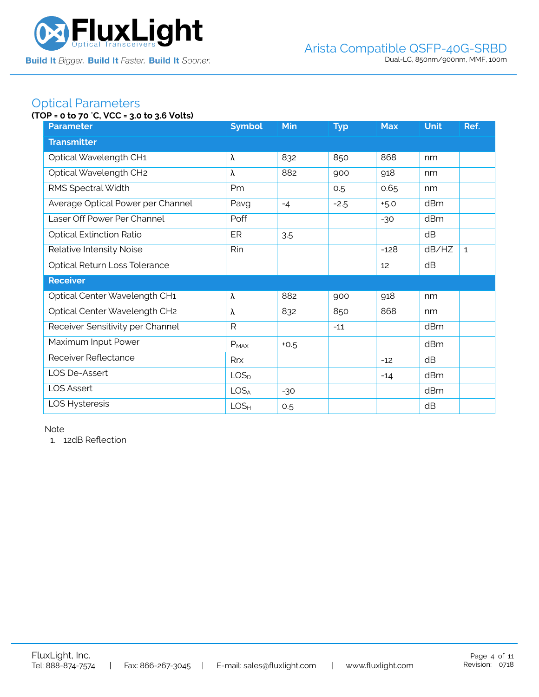

### Optical Parameters

### **(TOP = 0 to 70** °**C, VCC = 3.0 to 3.6 Volts)**

| <b>Parameter</b>                  | <b>Symbol</b>    | Min    | <b>Typ</b> | <b>Max</b> | <b>Unit</b> | Ref.         |
|-----------------------------------|------------------|--------|------------|------------|-------------|--------------|
| <b>Transmitter</b>                |                  |        |            |            |             |              |
| Optical Wavelength CH1            | λ                | 832    | 850        | 868        | nm          |              |
| Optical Wavelength CH2            | λ                | 882    | 900        | 918        | nm          |              |
| RMS Spectral Width                | Pm               |        | 0.5        | 0.65       | nm          |              |
| Average Optical Power per Channel | Pavg             | $-4$   | $-2.5$     | $+5.0$     | dBm         |              |
| Laser Off Power Per Channel       | Poff             |        |            | $-30$      | dBm         |              |
| <b>Optical Extinction Ratio</b>   | ER               | 3.5    |            |            | dB          |              |
| Relative Intensity Noise          | Rin              |        |            | $-128$     | dB/HZ       | $\mathbf{1}$ |
| Optical Return Loss Tolerance     |                  |        |            | 12         | dB          |              |
| <b>Receiver</b>                   |                  |        |            |            |             |              |
| Optical Center Wavelength CH1     | λ                | 882    | 900        | 918        | nm          |              |
| Optical Center Wavelength CH2     | λ                | 832    | 850        | 868        | nm          |              |
| Receiver Sensitivity per Channel  | $\mathsf{R}$     |        | $-11$      |            | dBm         |              |
| Maximum Input Power               | $P_{MAX}$        | $+0.5$ |            |            | dBm         |              |
| Receiver Reflectance              | <b>Rrx</b>       |        |            | $-12$      | dB          |              |
| LOS De-Assert                     | LOS <sub>D</sub> |        |            | $-14$      | dBm         |              |
| <b>LOS Assert</b>                 | LOS <sub>A</sub> | $-30$  |            |            | dBm         |              |
| LOS Hysteresis                    | LOS <sub>H</sub> | 0.5    |            |            | dB          |              |

Note

1. 12dB Reflection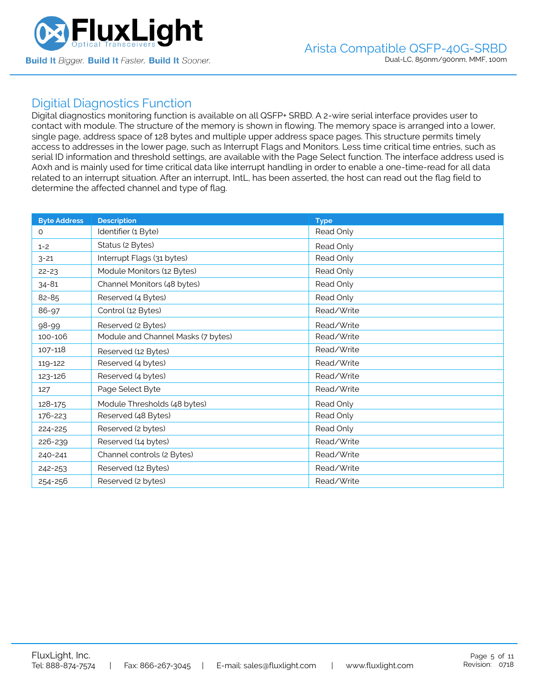

### Digitial Diagnostics Function

Digital diagnostics monitoring function is available on all QSFP+ SRBD. A 2-wire serial interface provides user to contact with module. The structure of the memory is shown in flowing. The memory space is arranged into a lower, single page, address space of 128 bytes and multiple upper address space pages. This structure permits timely access to addresses in the lower page, such as Interrupt Flags and Monitors. Less time critical time entries, such as serial ID information and threshold settings, are available with the Page Select function. The interface address used is A0xh and is mainly used for time critical data like interrupt handling in order to enable a one-time-read for all data related to an interrupt situation. After an interrupt, IntL, has been asserted, the host can read out the flag field to determine the affected channel and type of flag.

| <b>Byte Address</b> | <b>Description</b>                 | <b>Type</b> |
|---------------------|------------------------------------|-------------|
| $\Omega$            | Identifier (1 Byte)                | Read Only   |
| $1 - 2$             | Status (2 Bytes)                   | Read Only   |
| $3 - 21$            | Interrupt Flags (31 bytes)         | Read Only   |
| $22 - 23$           | Module Monitors (12 Bytes)         | Read Only   |
| $34 - 81$           | Channel Monitors (48 bytes)        | Read Only   |
| 82-85               | Reserved (4 Bytes)                 | Read Only   |
| 86-97               | Control (12 Bytes)                 | Read/Write  |
| 98-99               | Reserved (2 Bytes)                 | Read/Write  |
| 100-106             | Module and Channel Masks (7 bytes) | Read/Write  |
| 107-118             | Reserved (12 Bytes)                | Read/Write  |
| 119-122             | Reserved (4 bytes)                 | Read/Write  |
| 123-126             | Reserved (4 bytes)                 | Read/Write  |
| 127                 | Page Select Byte                   | Read/Write  |
| 128-175             | Module Thresholds (48 bytes)       | Read Only   |
| 176-223             | Reserved (48 Bytes)                | Read Only   |
| 224-225             | Reserved (2 bytes)                 | Read Only   |
| 226-239             | Reserved (14 bytes)                | Read/Write  |
| 240-241             | Channel controls (2 Bytes)         | Read/Write  |
| 242-253             | Reserved (12 Bytes)                | Read/Write  |
| 254-256             | Reserved (2 bytes)                 | Read/Write  |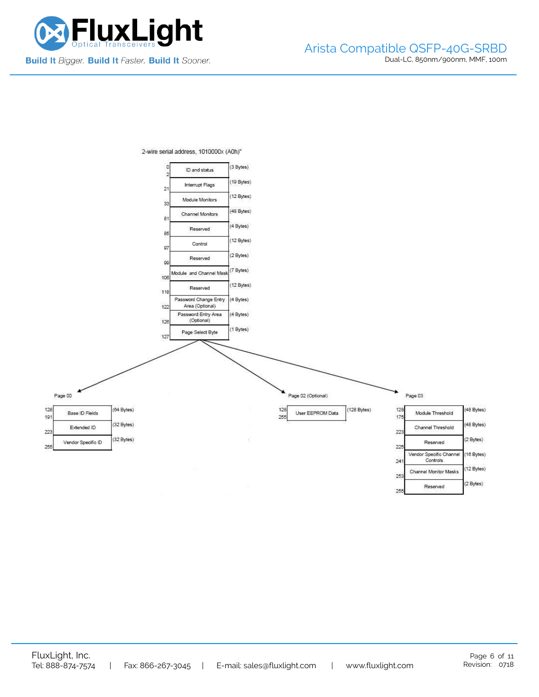



2-wire serial address, 1010000x (A0h)"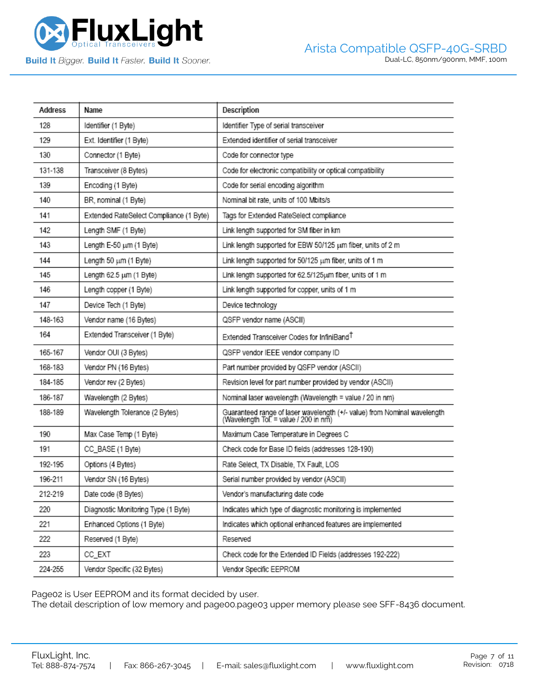

**Build It Bigger. Build It Faster. Build It Sooner.** 

| Address | Name                                    | Description                                                                                                       |
|---------|-----------------------------------------|-------------------------------------------------------------------------------------------------------------------|
| 128     | Identifier (1 Byte)                     | Identifier Type of serial transceiver                                                                             |
| 129     | Ext. Identifier (1 Byte)                | Extended identifier of serial transceiver                                                                         |
| 130     | Connector (1 Byte)                      | Code for connector type                                                                                           |
| 131-138 | Transceiver (8 Bytes)                   | Code for electronic compatibility or optical compatibility                                                        |
| 139     | Encoding (1 Byte)                       | Code for serial encoding algorithm                                                                                |
| 140     | BR, nominal (1 Byte)                    | Nominal bit rate, units of 100 Mbits/s                                                                            |
| 141     | Extended RateSelect Compliance (1 Byte) | Tags for Extended RateSelect compliance                                                                           |
| 142     | Length SMF (1 Byte)                     | Link length supported for SM fiber in km                                                                          |
| 143     | Length E-50 um (1 Byte)                 | Link length supported for EBW 50/125 um fiber, units of 2 m                                                       |
| 144     | Length 50 um (1 Byte)                   | Link length supported for 50/125 um fiber, units of 1 m                                                           |
| 145     | Length 62.5 um (1 Byte)                 | Link length supported for 62.5/125um fiber, units of 1 m                                                          |
| 146     | Length copper (1 Byte)                  | Link length supported for copper, units of 1 m                                                                    |
| 147     | Device Tech (1 Byte)                    | Device technology                                                                                                 |
| 148-163 | Vendor name (16 Bytes)                  | QSFP vendor name (ASCII)                                                                                          |
| 164     | Extended Transceiver (1 Byte)           | Extended Transceiver Codes for InfiniBand <sup>T</sup>                                                            |
| 165-167 | Vendor OUI (3 Bytes)                    | QSFP vendor IEEE vendor company ID                                                                                |
| 168-183 | Vendor PN (16 Bytes)                    | Part number provided by QSFP vendor (ASCII)                                                                       |
| 184-185 | Vendor rev (2 Bytes)                    | Revision level for part number provided by vendor (ASCII)                                                         |
| 186-187 | Wavelength (2 Bytes)                    | Nominal laser wavelength (Wavelength = value / 20 in nm)                                                          |
| 188-189 | Wavelength Tolerance (2 Bytes)          | Guaranteed range of laser wavelength (+/- value) from Nominal wavelength<br>(Wavelength Tol. = value / 200 in nm) |
| 190     | Max Case Temp (1 Byte)                  | Maximum Case Temperature in Degrees C                                                                             |
| 191     | CC_BASE (1 Byte)                        | Check code for Base ID fields (addresses 128-190)                                                                 |
| 192-195 | Options (4 Bytes)                       | Rate Select, TX Disable, TX Fault, LOS                                                                            |
| 196-211 | Vendor SN (16 Bytes)                    | Serial number provided by vendor (ASCII)                                                                          |
| 212-219 | Date code (8 Bytes)                     | Vendor's manufacturing date code                                                                                  |
| 220     | Diagnostic Monitoring Type (1 Byte)     | Indicates which type of diagnostic monitoring is implemented                                                      |
| 221     | Enhanced Options (1 Byte)               | Indicates which optional enhanced features are implemented                                                        |
| 222     | Reserved (1 Byte)                       | Reserved                                                                                                          |
| 223     | CC_EXT                                  | Check code for the Extended ID Fields (addresses 192-222)                                                         |
| 224-255 | Vendor Specific (32 Bytes)              | Vendor Specific EEPROM                                                                                            |

Page02 is User EEPROM and its format decided by user.

The detail description of low memory and page00.page03 upper memory please see SFF-8436 document.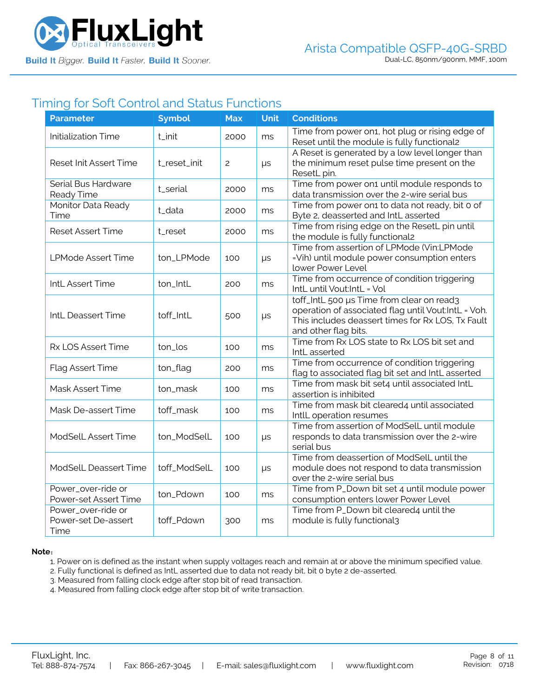

### Timing for Soft Control and Status Functions

| <b>Parameter</b>                                  | <b>Symbol</b> | <b>Max</b>     | <b>Unit</b> | <b>Conditions</b>                                                                                                                                                             |
|---------------------------------------------------|---------------|----------------|-------------|-------------------------------------------------------------------------------------------------------------------------------------------------------------------------------|
| <b>Initialization Time</b>                        | t_init        | 2000           | ms          | Time from power on 1, hot plug or rising edge of<br>Reset until the module is fully functional2                                                                               |
| Reset Init Assert Time                            | t_reset_init  | $\overline{c}$ | $\mu s$     | A Reset is generated by a low level longer than<br>the minimum reset pulse time present on the<br>ResetL pin.                                                                 |
| Serial Bus Hardware<br>Ready Time                 | t_serial      | 2000           | ms          | Time from power on1 until module responds to<br>data transmission over the 2-wire serial bus                                                                                  |
| Monitor Data Ready<br>Time                        | t_data        | 2000           | ms          | Time from power on1 to data not ready, bit 0 of<br>Byte 2, deasserted and IntL asserted                                                                                       |
| <b>Reset Assert Time</b>                          | t_reset       | 2000           | ms          | Time from rising edge on the ResetL pin until<br>the module is fully functional2                                                                                              |
| <b>LPMode Assert Time</b>                         | ton_LPMode    | 100            | $\mu s$     | Time from assertion of LPMode (Vin:LPMode<br>=Vih) until module power consumption enters<br>lower Power Level                                                                 |
| IntL Assert Time                                  | ton_IntL      | 200            | ms          | Time from occurrence of condition triggering<br>IntL until Vout:IntL = Vol                                                                                                    |
| IntL Deassert Time                                | toff_IntL     | 500            | $\mu s$     | toff_IntL 500 µs Time from clear on read3<br>operation of associated flag until Vout:IntL = Voh.<br>This includes deassert times for Rx LOS, Tx Fault<br>and other flag bits. |
| Rx LOS Assert Time                                | ton_los       | 100            | ms          | Time from Rx LOS state to Rx LOS bit set and<br>IntL asserted                                                                                                                 |
| Flag Assert Time                                  | ton_flag      | 200            | ms          | Time from occurrence of condition triggering<br>flag to associated flag bit set and IntL asserted                                                                             |
| Mask Assert Time                                  | ton_mask      | 100            | ms          | Time from mask bit set4 until associated IntL<br>assertion is inhibited                                                                                                       |
| Mask De-assert Time                               | toff_mask     | 100            | ms          | Time from mask bit cleared4 until associated<br>IntlL operation resumes                                                                                                       |
| ModSelL Assert Time                               | ton_ModSelL   | 100            | $\mu s$     | Time from assertion of ModSelL until module<br>responds to data transmission over the 2-wire<br>serial bus                                                                    |
| ModSelL Deassert Time                             | toff_ModSelL  | 100            | $\mu s$     | Time from deassertion of ModSelL until the<br>module does not respond to data transmission<br>over the 2-wire serial bus                                                      |
| Power_over-ride or<br>Power-set Assert Time       | ton_Pdown     | 100            | ms          | Time from P_Down bit set 4 until module power<br>consumption enters lower Power Level                                                                                         |
| Power_over-ride or<br>Power-set De-assert<br>Time | toff_Pdown    | 300            | ms          | Time from P_Down bit cleared4 until the<br>module is fully functional3                                                                                                        |

#### **Note**:

1. Power on is defined as the instant when supply voltages reach and remain at or above the minimum specified value.

- 2. Fully functional is defined as IntL asserted due to data not ready bit, bit 0 byte 2 de-asserted.
- 3. Measured from falling clock edge after stop bit of read transaction.
- 4. Measured from falling clock edge after stop bit of write transaction.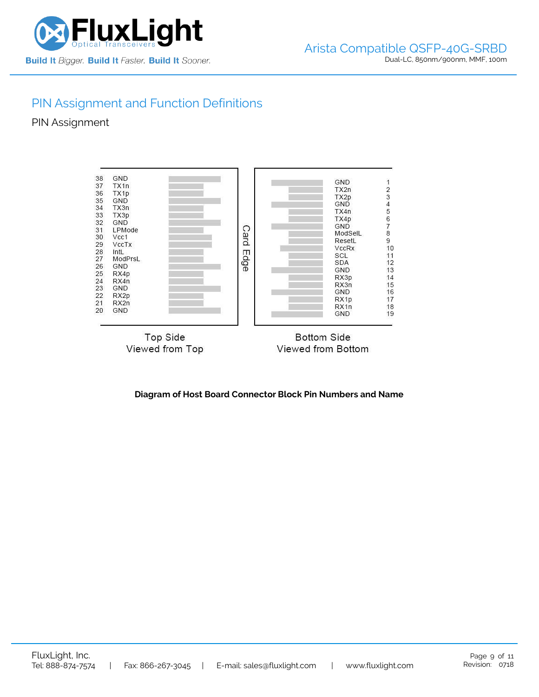

# PIN Assignment and Function Definitions

PIN Assignment



**Diagram of Host Board Connector Block Pin Numbers and Name**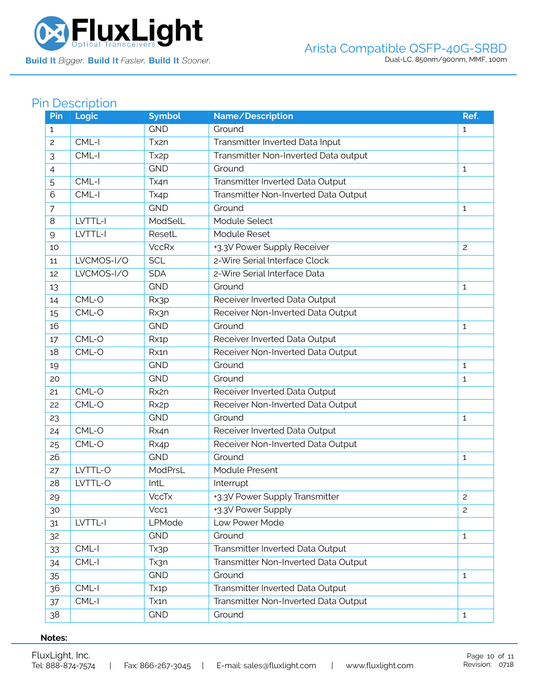

# Pin Description

| Pin            | <b>Logic</b> | <b>Symbol</b>     | Name/Description                     | Ref.           |
|----------------|--------------|-------------------|--------------------------------------|----------------|
| 1              |              | <b>GND</b>        | Ground                               | $\mathbf{1}$   |
| $\overline{c}$ | CML-I        | Tx2n              | Transmitter Inverted Data Input      |                |
| 3              | CML-I        | Tx <sub>2</sub> p | Transmitter Non-Inverted Data output |                |
| 4              |              | <b>GND</b>        | Ground                               | $\mathbf{1}$   |
| 5              | CML-I        | Tx4n              | Transmitter Inverted Data Output     |                |
| 6              | CML-I        | Tx4p              | Transmitter Non-Inverted Data Output |                |
| $\overline{7}$ |              | <b>GND</b>        | Ground                               | $\mathbf{1}$   |
| 8              | LVTTL-I      | ModSelL           | Module Select                        |                |
| $\mathsf{Q}$   | LVTTL-I      | ResetL            | Module Reset                         |                |
| 10             |              | <b>VccRx</b>      | +3.3V Power Supply Receiver          | $\mathbf{2}$   |
| 11             | LVCMOS-I/O   | <b>SCL</b>        | 2-Wire Serial Interface Clock        |                |
| 12             | LVCMOS-I/O   | <b>SDA</b>        | 2-Wire Serial Interface Data         |                |
| 13             |              | <b>GND</b>        | Ground                               | $\mathbf{1}$   |
| 14             | CML-O        | Rx3p              | Receiver Inverted Data Output        |                |
| 15             | CML-O        | Rx3n              | Receiver Non-Inverted Data Output    |                |
| 16             |              | <b>GND</b>        | Ground                               | 1              |
| 17             | CML-O        | Rx1p              | Receiver Inverted Data Output        |                |
| 18             | CML-O        | Rx1n              | Receiver Non-Inverted Data Output    |                |
| 19             |              | <b>GND</b>        | Ground                               | 1              |
| 20             |              | <b>GND</b>        | Ground                               | $\mathbf{1}$   |
| 21             | CML-O        | Rx2n              | Receiver Inverted Data Output        |                |
| 22             | CML-O        | Rx <sub>2</sub> p | Receiver Non-Inverted Data Output    |                |
| 23             |              | <b>GND</b>        | Ground                               | 1              |
| 24             | CML-O        | Rx4n              | Receiver Inverted Data Output        |                |
| 25             | CML-O        | Rx4p              | Receiver Non-Inverted Data Output    |                |
| 26             |              | <b>GND</b>        | Ground                               | $\mathbf{1}$   |
| 27             | LVTTL-O      | ModPrsL           | <b>Module Present</b>                |                |
| 28             | LVTTL-O      | IntL              | Interrupt                            |                |
| 29             |              | <b>VccTx</b>      | +3.3V Power Supply Transmitter       | $\overline{c}$ |
| 30             |              | Vcc1              | +3.3V Power Supply                   | $\overline{c}$ |
| 31             | LVTTL-I      | LPMode            | Low Power Mode                       |                |
| 32             |              | <b>GND</b>        | Ground                               | $\mathbf{1}$   |
| 33             | CML-I        | Tx3p              | Transmitter Inverted Data Output     |                |
| 34             | CML-I        | Tx3n              | Transmitter Non-Inverted Data Output |                |
| 35             |              | <b>GND</b>        | Ground                               | $\mathbf{1}$   |
| 36             | $CML-I$      | Tx <sub>1</sub> p | Transmitter Inverted Data Output     |                |
| 37             | $CML-I$      | Tx1n              | Transmitter Non-Inverted Data Output |                |
| 38             |              | <b>GND</b>        | Ground                               | $\mathbf{1}$   |

### **Notes:**